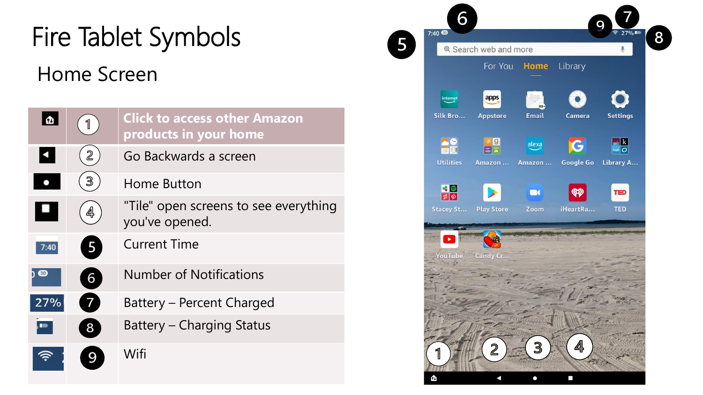## Fire Tablet Symbols Home Screen

|      |   | <b>Click to access other Amazon</b><br>products in your home |
|------|---|--------------------------------------------------------------|
|      | 2 | Go Backwards a screen                                        |
|      | З | Home Button                                                  |
|      | 4 | "Tile" open screens to see everything<br>you've opened.      |
|      | 5 | <b>Current Time</b>                                          |
| h 60 | 6 | <b>Number of Notifications</b>                               |
| 27%  | 7 | Battery – Percent Charged                                    |
|      | 8 | <b>Battery - Charging Status</b>                             |
|      |   | Wifi                                                         |

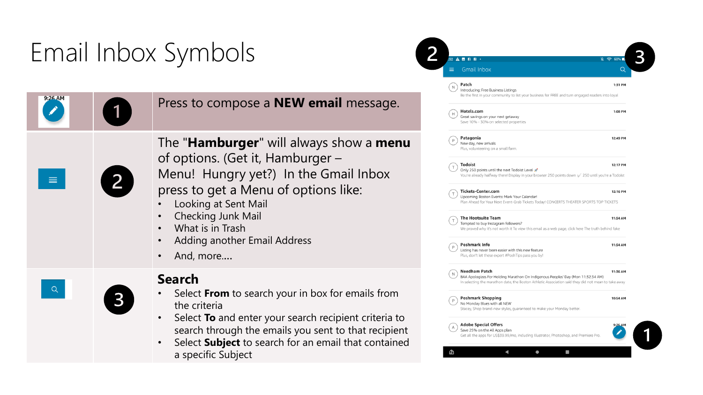## Email Inbox Symbols

|          |   |                                                                                                                                                                                                                                                                                                                                                                                                                                                                                                                      | ιm,<br>Introd                                                                                                                                         |
|----------|---|----------------------------------------------------------------------------------------------------------------------------------------------------------------------------------------------------------------------------------------------------------------------------------------------------------------------------------------------------------------------------------------------------------------------------------------------------------------------------------------------------------------------|-------------------------------------------------------------------------------------------------------------------------------------------------------|
| 9:26 AM  | 1 | Press to compose a <b>NEW email</b> message.                                                                                                                                                                                                                                                                                                                                                                                                                                                                         | Be the<br>Hotel<br>Great s<br>Save 1                                                                                                                  |
| $\equiv$ | 2 | The " <b>Hamburger</b> " will always show a <b>menu</b><br>of options. (Get it, Hamburger –<br>Menu! Hungry yet?) In the Gmail Inbox<br>press to get a Menu of options like:<br>Looking at Sent Mail<br>Checking Junk Mail<br>What is in Trash<br>$\bullet$<br>Adding another Email Address<br>$\bullet$<br>And, more<br>$\bullet$                                                                                                                                                                                   | Patag<br>New di<br>Plus, v<br>Todoi<br>Only 2<br>You're<br><b>Ticke</b><br>Upcom<br>Plan A<br>The H<br>Tempt<br>We pro<br>Poshr<br>Listing<br>Plus, d |
| Q        | 3 | <b>Search</b><br>Select From to search your in box for emails from<br>the criteria<br>Select To and enter your search recipient criteria to<br>$\bullet$<br>search through the emails you sent to that recipient<br>$\mathbf{r}$ and $\mathbf{r}$ are all $\mathbf{r}$ and $\mathbf{r}$ and $\mathbf{r}$ and $\mathbf{r}$ and $\mathbf{r}$ and $\mathbf{r}$ and $\mathbf{r}$ and $\mathbf{r}$ and $\mathbf{r}$ and $\mathbf{r}$ and $\mathbf{r}$ and $\mathbf{r}$ and $\mathbf{r}$ and $\mathbf{r}$ and $\mathbf{r}$ | <b>Need</b><br>BAA A<br>In seler<br>Poshr<br>No Mo<br>Stacey<br>Adob<br>Save 2<br>Get all                                                             |

• Select **Subject** to search for an email that contained a specific Subject

| ≡ | $52$ <b>A M N</b><br><b>B</b><br>Ŕ.<br><b>Gmail Inbox</b>                                                                                                                                                       | 60%<br>$\hat{\mathbb{R}}$<br>Q |
|---|-----------------------------------------------------------------------------------------------------------------------------------------------------------------------------------------------------------------|--------------------------------|
| Ν | Patch<br>Introducing: Free Business Listings<br>Be the first in your community to list your business for FREE and turn engaged readers into loyal                                                               | 1:31 PM                        |
| Н | Hotels.com<br>Great savings on your next getaway<br>Save 10% - 30% on selected properties                                                                                                                       | 1:08 PM                        |
| P | Patagonia<br>New day, new arrivals<br>Plus, volunteering on a small farm.                                                                                                                                       | 12:49 PM                       |
|   | <b>Todoist</b><br>Only 250 points until the next Todoist Level<br>You're already halfway there! Display in your browser 250 points down \ 250 until you're a Todoist                                            | 12:17 PM                       |
| T | Tickets-Center.com<br>Upcoming Boston Events: Mark Your Calendar!<br>Plan Ahead for Your Next Event-Grab Tickets Today! CONCERTS THEATER SPORTS TOP TICKETS                                                     | 12:16 PM                       |
| т | <b>The Hootsuite Team</b><br>Tempted to buy Instagram followers?<br>We proved why it's not worth it To view this email as a web page, click here The truth behind fake                                          | 11:54 AM                       |
| P | Poshmark Info<br>Listing has never been easier with this new feature<br>Plus, don't let these expert #PoshTips pass you by!                                                                                     | 11:54 AM                       |
|   | <b>Needham Patch</b><br>BAA Apologizes For Holding Marathon On Indigenous Peoples' Day (Mon 11:32:34 AM)<br>In selecting the marathon date, the Boston Athletic Association said they did not mean to take away | 11:36 AM                       |
|   | <b>Poshmark Shopping</b><br>No Monday Blues with all NEW<br>Stacey, Shop brand-new styles, guaranteed to make your Monday better.                                                                               | 10:54 AM                       |
| Δ | <b>Adobe Special Offers</b><br>Save 25% on the All Apps plan<br>Get all the apps for US\$39.99/mo, including Illustrator, Photoshop, and Premiere Pro.                                                          |                                |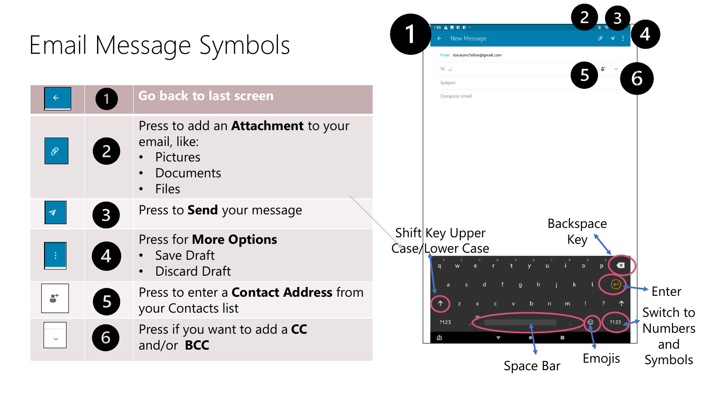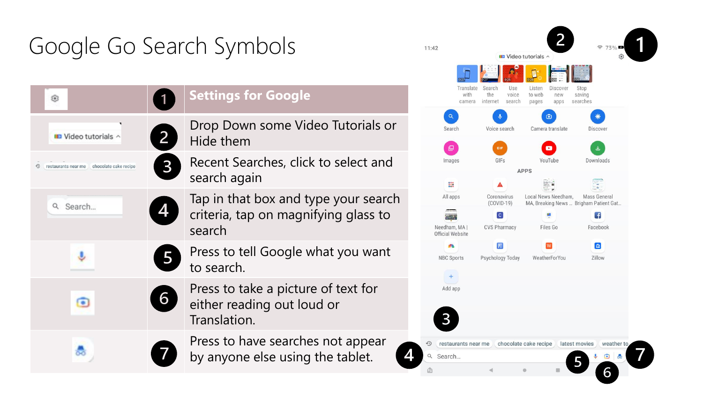## Google Go Search Symbols

 $\overline{2}$ 

 $\mathbf{B}$ 

5

6

⊕

D Video tutorials ^

<sup>9</sup> restaurants near me chocolate cake recipe

Q Search...

J

 $\bullet$ 

€

**Settings for Google**

Drop Down some Video Tutorials or Hide them

Recent Searches, click to select and search again

Tap in that box and type your search criteria, tap on magnifying glass to search

Press to tell Google what you want to search.

Press to take a picture of text for either reading out loud or Translation.

Press to have searches not appear by anyone else using the tablet.

| 11:42    |                                     |                                                     | <b>ID</b> Video tutorials ^                          | 73%<br>宆<br>తి                                                |  |
|----------|-------------------------------------|-----------------------------------------------------|------------------------------------------------------|---------------------------------------------------------------|--|
|          | 0:27<br>Translate<br>with<br>camera | Search<br>Use<br>the<br>voice<br>internet<br>search | Listen<br>Discover<br>to web<br>new<br>pages<br>apps | Stop<br>saving<br>searches                                    |  |
|          | Q<br>Search                         | J<br>Voice search                                   | $\bullet$<br>Camera translate                        | Discover                                                      |  |
|          | ட<br>Images                         | GIF<br>GIFs                                         | $\bullet$<br>YouTube<br><b>APPS</b>                  | 圡<br>Downloads                                                |  |
|          |                                     |                                                     |                                                      |                                                               |  |
|          | $\frac{000}{000}$                   |                                                     |                                                      |                                                               |  |
|          | All apps                            | Coronavirus<br>$(COVID-19)$                         | Local News Needham,                                  | <b>Mass General</b><br>MA, Breaking News  Brigham Patient Gat |  |
|          |                                     | $\overline{c}$                                      | ø.                                                   | $\left  \cdot \right $                                        |  |
|          | Needham, MA  <br>Official Website   | <b>CVS Pharmacy</b>                                 | Files Go                                             | Facebook                                                      |  |
|          | <b>SPG</b>                          | $\mathbf{P}$                                        | W                                                    | $\epsilon$                                                    |  |
|          | <b>NBC Sports</b>                   | Psychology Today                                    | WeatherForYou                                        | Zillow                                                        |  |
|          | $+$<br>Add app                      |                                                     |                                                      |                                                               |  |
|          |                                     |                                                     |                                                      |                                                               |  |
| $\odot$  | restaurants near me                 |                                                     | chocolate cake recipe                                | latest movies<br>weather to                                   |  |
| $\alpha$ | Search                              |                                                     |                                                      | 춣                                                             |  |
|          |                                     | ₫                                                   | G<br>m                                               |                                                               |  |